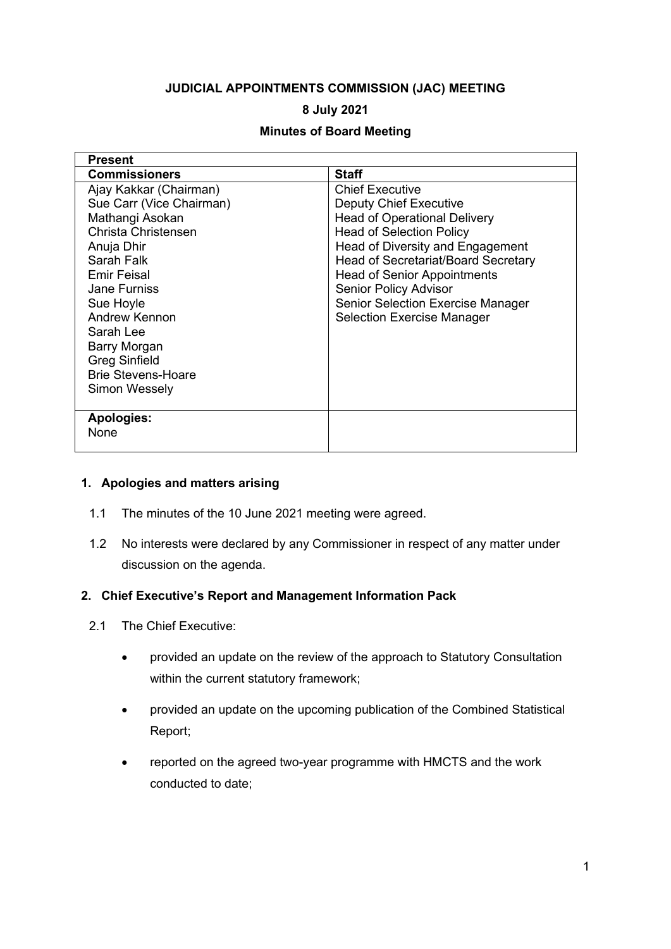# **JUDICIAL APPOINTMENTS COMMISSION (JAC) MEETING**

## **8 July 2021**

### **Minutes of Board Meeting**

| <b>Present</b>            |                                            |
|---------------------------|--------------------------------------------|
| <b>Commissioners</b>      | <b>Staff</b>                               |
| Ajay Kakkar (Chairman)    | <b>Chief Executive</b>                     |
| Sue Carr (Vice Chairman)  | <b>Deputy Chief Executive</b>              |
| Mathangi Asokan           | <b>Head of Operational Delivery</b>        |
| Christa Christensen       | <b>Head of Selection Policy</b>            |
| Anuja Dhir                | Head of Diversity and Engagement           |
| Sarah Falk                | <b>Head of Secretariat/Board Secretary</b> |
| <b>Emir Feisal</b>        | <b>Head of Senior Appointments</b>         |
| <b>Jane Furniss</b>       | <b>Senior Policy Advisor</b>               |
| Sue Hoyle                 | <b>Senior Selection Exercise Manager</b>   |
| Andrew Kennon             | <b>Selection Exercise Manager</b>          |
| Sarah Lee                 |                                            |
| Barry Morgan              |                                            |
| <b>Greg Sinfield</b>      |                                            |
| <b>Brie Stevens-Hoare</b> |                                            |
| Simon Wessely             |                                            |
|                           |                                            |
| <b>Apologies:</b>         |                                            |
| None                      |                                            |
|                           |                                            |

#### **1. Apologies and matters arising**

- 1.1 The minutes of the 10 June 2021 meeting were agreed.
- 1.2 No interests were declared by any Commissioner in respect of any matter under discussion on the agenda.

#### **2. Chief Executive's Report and Management Information Pack**

- 2.1 The Chief Executive:
	- provided an update on the review of the approach to Statutory Consultation within the current statutory framework;
	- provided an update on the upcoming publication of the Combined Statistical Report;
	- reported on the agreed two-year programme with HMCTS and the work conducted to date;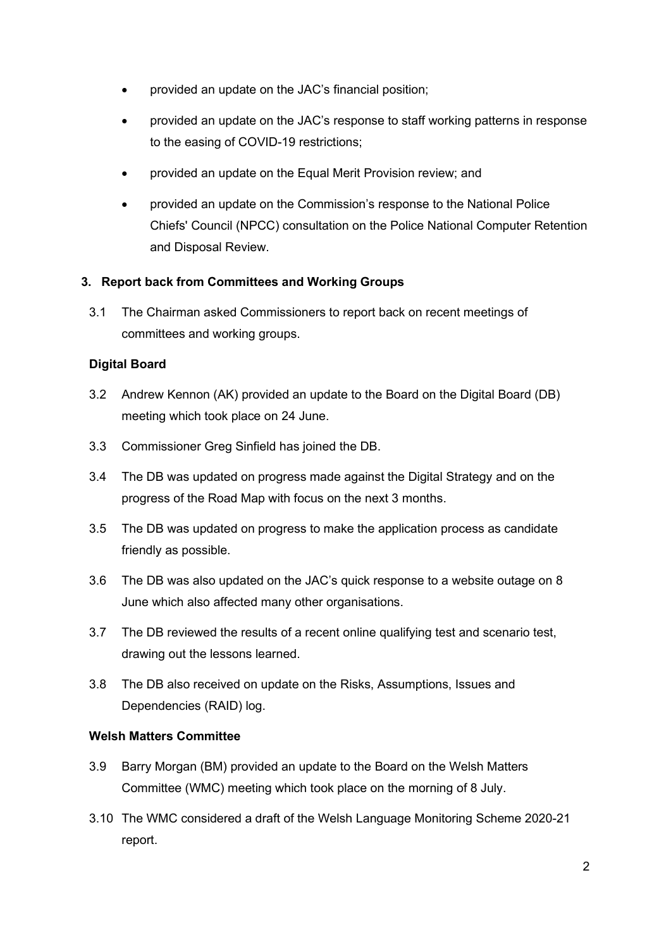- provided an update on the JAC's financial position;
- provided an update on the JAC's response to staff working patterns in response to the easing of COVID-19 restrictions;
- provided an update on the Equal Merit Provision review; and
- provided an update on the Commission's response to the National Police Chiefs' Council (NPCC) consultation on the Police National Computer Retention and Disposal Review.

## **3. Report back from Committees and Working Groups**

3.1 The Chairman asked Commissioners to report back on recent meetings of committees and working groups.

## **Digital Board**

- 3.2 Andrew Kennon (AK) provided an update to the Board on the Digital Board (DB) meeting which took place on 24 June.
- 3.3 Commissioner Greg Sinfield has joined the DB.
- 3.4 The DB was updated on progress made against the Digital Strategy and on the progress of the Road Map with focus on the next 3 months.
- 3.5 The DB was updated on progress to make the application process as candidate friendly as possible.
- 3.6 The DB was also updated on the JAC's quick response to a website outage on 8 June which also affected many other organisations.
- 3.7 The DB reviewed the results of a recent online qualifying test and scenario test, drawing out the lessons learned.
- 3.8 The DB also received on update on the Risks, Assumptions, Issues and Dependencies (RAID) log.

#### **Welsh Matters Committee**

- 3.9 Barry Morgan (BM) provided an update to the Board on the Welsh Matters Committee (WMC) meeting which took place on the morning of 8 July.
- 3.10 The WMC considered a draft of the Welsh Language Monitoring Scheme 2020-21 report.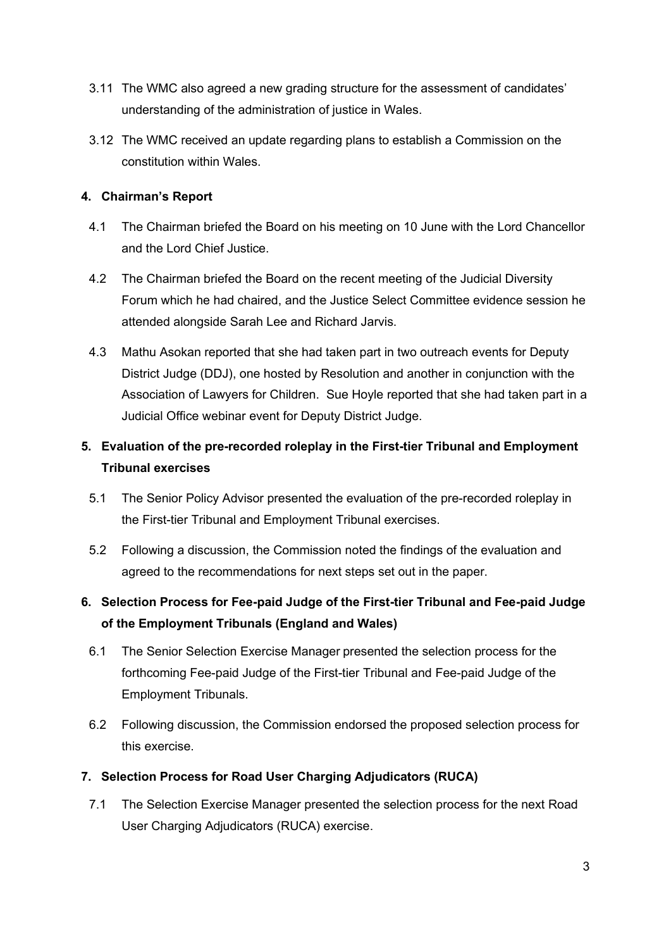- 3.11 The WMC also agreed a new grading structure for the assessment of candidates' understanding of the administration of justice in Wales.
- 3.12 The WMC received an update regarding plans to establish a Commission on the constitution within Wales.

# **4. Chairman's Report**

- 4.1 The Chairman briefed the Board on his meeting on 10 June with the Lord Chancellor and the Lord Chief Justice.
- 4.2 The Chairman briefed the Board on the recent meeting of the Judicial Diversity Forum which he had chaired, and the Justice Select Committee evidence session he attended alongside Sarah Lee and Richard Jarvis.
- 4.3 Mathu Asokan reported that she had taken part in two outreach events for Deputy District Judge (DDJ), one hosted by Resolution and another in conjunction with the Association of Lawyers for Children. Sue Hoyle reported that she had taken part in a Judicial Office webinar event for Deputy District Judge.

# **5. Evaluation of the pre-recorded roleplay in the First-tier Tribunal and Employment Tribunal exercises**

- 5.1 The Senior Policy Advisor presented the evaluation of the pre-recorded roleplay in the First-tier Tribunal and Employment Tribunal exercises.
- 5.2 Following a discussion, the Commission noted the findings of the evaluation and agreed to the recommendations for next steps set out in the paper.

# **6. Selection Process for Fee-paid Judge of the First-tier Tribunal and Fee-paid Judge of the Employment Tribunals (England and Wales)**

- 6.1 The Senior Selection Exercise Manager presented the selection process for the forthcoming Fee-paid Judge of the First-tier Tribunal and Fee-paid Judge of the Employment Tribunals.
- 6.2 Following discussion, the Commission endorsed the proposed selection process for this exercise.

# **7. Selection Process for Road User Charging Adjudicators (RUCA)**

7.1 The Selection Exercise Manager presented the selection process for the next Road User Charging Adjudicators (RUCA) exercise.